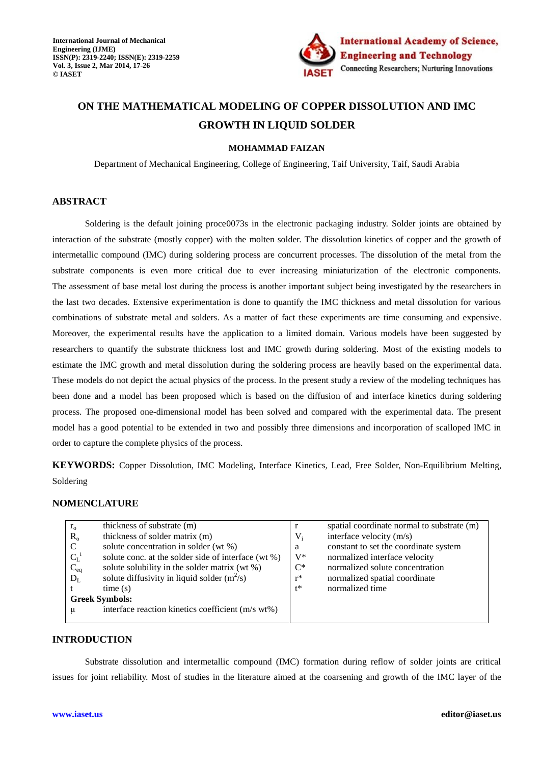

# **ON THE MATHEMATICAL MODELING OF COPPER DISSOLUTION AND IMC GROWTH IN LIQUID SOLDER**

### **MOHAMMAD FAIZAN**

Department of Mechanical Engineering, College of Engineering, Taif University, Taif, Saudi Arabia

# **ABSTRACT**

Soldering is the default joining proce0073s in the electronic packaging industry. Solder joints are obtained by interaction of the substrate (mostly copper) with the molten solder. The dissolution kinetics of copper and the growth of intermetallic compound (IMC) during soldering process are concurrent processes. The dissolution of the metal from the substrate components is even more critical due to ever increasing miniaturization of the electronic components. The assessment of base metal lost during the process is another important subject being investigated by the researchers in the last two decades. Extensive experimentation is done to quantify the IMC thickness and metal dissolution for various combinations of substrate metal and solders. As a matter of fact these experiments are time consuming and expensive. Moreover, the experimental results have the application to a limited domain. Various models have been suggested by researchers to quantify the substrate thickness lost and IMC growth during soldering. Most of the existing models to estimate the IMC growth and metal dissolution during the soldering process are heavily based on the experimental data. These models do not depict the actual physics of the process. In the present study a review of the modeling techniques has been done and a model has been proposed which is based on the diffusion of and interface kinetics during soldering process. The proposed one-dimensional model has been solved and compared with the experimental data. The present model has a good potential to be extended in two and possibly three dimensions and incorporation of scalloped IMC in order to capture the complete physics of the process.

**KEYWORDS:** Copper Dissolution, IMC Modeling, Interface Kinetics, Lead, Free Solder, Non-Equilibrium Melting, Soldering

# **NOMENCLATURE**

| $r_{o}$               | thickness of substrate (m)                          |       | spatial coordinate normal to substrate (m) |
|-----------------------|-----------------------------------------------------|-------|--------------------------------------------|
| $R_{o}$               | thickness of solder matrix (m)                      | $V_i$ | interface velocity (m/s)                   |
| C                     | solute concentration in solder (wt %)               | a     | constant to set the coordinate system      |
| $C_{L}^{-1}$          | solute conc. at the solder side of interface (wt %) | $V^*$ | normalized interface velocity              |
| $C_{eq}$              | solute solubility in the solder matrix (wt %)       | $C^*$ | normalized solute concentration            |
| $D_L$                 | solute diffusivity in liquid solder $(m^2/s)$       | $r^*$ | normalized spatial coordinate              |
|                       | time(s)                                             | $t^*$ | normalized time                            |
| <b>Greek Symbols:</b> |                                                     |       |                                            |
| μ                     | interface reaction kinetics coefficient (m/s wt%)   |       |                                            |
|                       |                                                     |       |                                            |

# **INTRODUCTION**

Substrate dissolution and intermetallic compound (IMC) formation during reflow of solder joints are critical issues for joint reliability. Most of studies in the literature aimed at the coarsening and growth of the IMC layer of the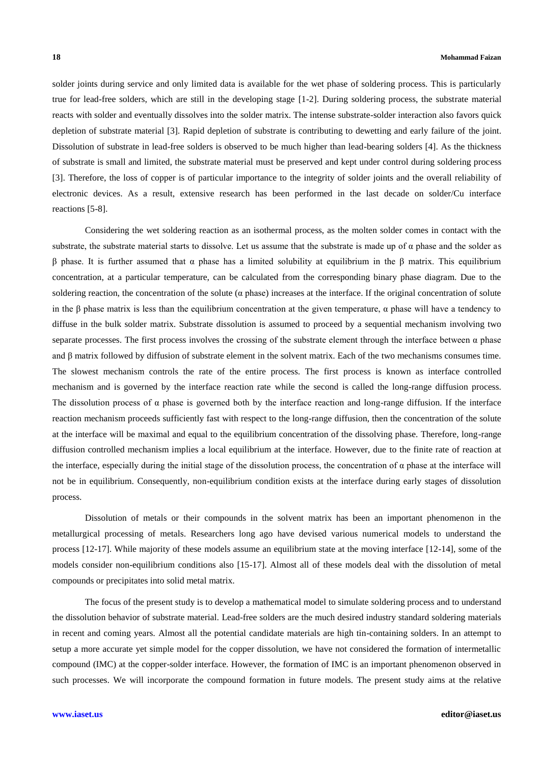solder joints during service and only limited data is available for the wet phase of soldering process. This is particularly true for lead-free solders, which are still in the developing stage [1-2]. During soldering process, the substrate material reacts with solder and eventually dissolves into the solder matrix. The intense substrate-solder interaction also favors quick depletion of substrate material [3]. Rapid depletion of substrate is contributing to dewetting and early failure of the joint. Dissolution of substrate in lead-free solders is observed to be much higher than lead-bearing solders [4]. As the thickness of substrate is small and limited, the substrate material must be preserved and kept under control during soldering process [3]. Therefore, the loss of copper is of particular importance to the integrity of solder joints and the overall reliability of electronic devices. As a result, extensive research has been performed in the last decade on solder/Cu interface reactions [5-8].

Considering the wet soldering reaction as an isothermal process, as the molten solder comes in contact with the substrate, the substrate material starts to dissolve. Let us assume that the substrate is made up of  $\alpha$  phase and the solder as β phase. It is further assumed that α phase has a limited solubility at equilibrium in the β matrix. This equilibrium concentration, at a particular temperature, can be calculated from the corresponding binary phase diagram. Due to the soldering reaction, the concentration of the solute  $(\alpha$  phase) increases at the interface. If the original concentration of solute in the β phase matrix is less than the equilibrium concentration at the given temperature,  $\alpha$  phase will have a tendency to diffuse in the bulk solder matrix. Substrate dissolution is assumed to proceed by a sequential mechanism involving two separate processes. The first process involves the crossing of the substrate element through the interface between  $\alpha$  phase and β matrix followed by diffusion of substrate element in the solvent matrix. Each of the two mechanisms consumes time. The slowest mechanism controls the rate of the entire process. The first process is known as interface controlled mechanism and is governed by the interface reaction rate while the second is called the long-range diffusion process. The dissolution process of  $\alpha$  phase is governed both by the interface reaction and long-range diffusion. If the interface reaction mechanism proceeds sufficiently fast with respect to the long-range diffusion, then the concentration of the solute at the interface will be maximal and equal to the equilibrium concentration of the dissolving phase. Therefore, long-range diffusion controlled mechanism implies a local equilibrium at the interface. However, due to the finite rate of reaction at the interface, especially during the initial stage of the dissolution process, the concentration of  $\alpha$  phase at the interface will not be in equilibrium. Consequently, non-equilibrium condition exists at the interface during early stages of dissolution process.

Dissolution of metals or their compounds in the solvent matrix has been an important phenomenon in the metallurgical processing of metals. Researchers long ago have devised various numerical models to understand the process [12-17]. While majority of these models assume an equilibrium state at the moving interface [12-14], some of the models consider non-equilibrium conditions also [15-17]. Almost all of these models deal with the dissolution of metal compounds or precipitates into solid metal matrix.

The focus of the present study is to develop a mathematical model to simulate soldering process and to understand the dissolution behavior of substrate material. Lead-free solders are the much desired industry standard soldering materials in recent and coming years. Almost all the potential candidate materials are high tin-containing solders. In an attempt to setup a more accurate yet simple model for the copper dissolution, we have not considered the formation of intermetallic compound (IMC) at the copper-solder interface. However, the formation of IMC is an important phenomenon observed in such processes. We will incorporate the compound formation in future models. The present study aims at the relative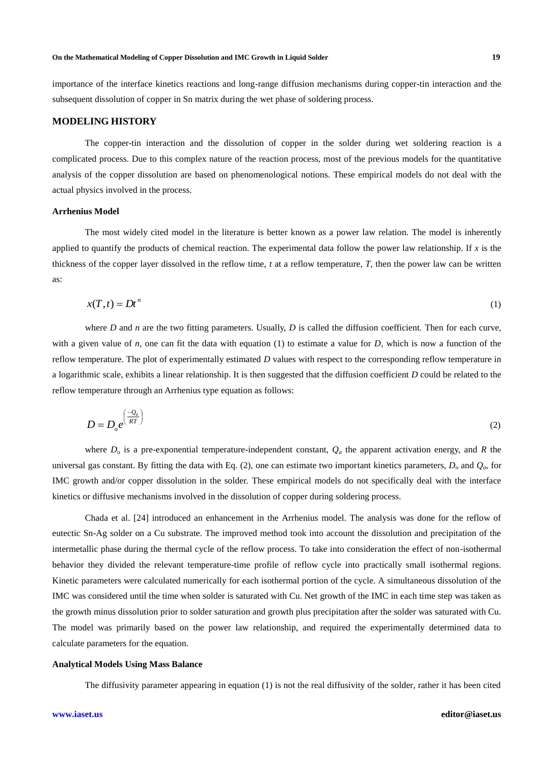### **On the Mathematical Modeling of Copper Dissolution and IMC Growth in Liquid Solder 19**

importance of the interface kinetics reactions and long-range diffusion mechanisms during copper-tin interaction and the subsequent dissolution of copper in Sn matrix during the wet phase of soldering process.

# **MODELING HISTORY**

The copper-tin interaction and the dissolution of copper in the solder during wet soldering reaction is a complicated process. Due to this complex nature of the reaction process, most of the previous models for the quantitative analysis of the copper dissolution are based on phenomenological notions. These empirical models do not deal with the actual physics involved in the process.

### **Arrhenius Model**

The most widely cited model in the literature is better known as a power law relation. The model is inherently applied to quantify the products of chemical reaction. The experimental data follow the power law relationship. If  $x$  is the thickness of the copper layer dissolved in the reflow time, *t* at a reflow temperature, *T*, then the power law can be written as:

$$
x(T,t) = Dt^n \tag{1}
$$

where *D* and *n* are the two fitting parameters. Usually, *D* is called the diffusion coefficient. Then for each curve, with a given value of  $n$ , one can fit the data with equation (1) to estimate a value for  $D$ , which is now a function of the reflow temperature. The plot of experimentally estimated *D* values with respect to the corresponding reflow temperature in a logarithmic scale, exhibits a linear relationship. It is then suggested that the diffusion coefficient *D* could be related to the reflow temperature through an Arrhenius type equation as follows:

$$
D = D_o e^{\left(\frac{-Q_a}{RT}\right)}\tag{2}
$$

where *D*<sup>o</sup> is a pre-exponential temperature-independent constant, *Q<sup>a</sup>* the apparent activation energy, and *R* the universal gas constant. By fitting the data with Eq. (2), one can estimate two important kinetics parameters,  $D_0$  and  $Q_a$ , for IMC growth and/or copper dissolution in the solder. These empirical models do not specifically deal with the interface kinetics or diffusive mechanisms involved in the dissolution of copper during soldering process.

Chada et al. [24] introduced an enhancement in the Arrhenius model. The analysis was done for the reflow of eutectic Sn-Ag solder on a Cu substrate. The improved method took into account the dissolution and precipitation of the intermetallic phase during the thermal cycle of the reflow process. To take into consideration the effect of non-isothermal behavior they divided the relevant temperature-time profile of reflow cycle into practically small isothermal regions. Kinetic parameters were calculated numerically for each isothermal portion of the cycle. A simultaneous dissolution of the IMC was considered until the time when solder is saturated with Cu. Net growth of the IMC in each time step was taken as the growth minus dissolution prior to solder saturation and growth plus precipitation after the solder was saturated with Cu. The model was primarily based on the power law relationship, and required the experimentally determined data to calculate parameters for the equation.

### **Analytical Models Using Mass Balance**

The diffusivity parameter appearing in equation (1) is not the real diffusivity of the solder, rather it has been cited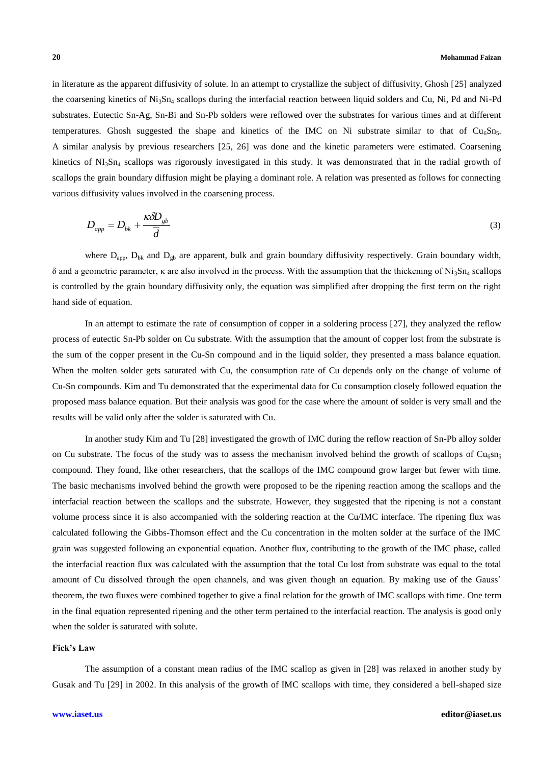in literature as the apparent diffusivity of solute. In an attempt to crystallize the subject of diffusivity, Ghosh [25] analyzed the coarsening kinetics of Ni3Sn<sup>4</sup> scallops during the interfacial reaction between liquid solders and Cu, Ni, Pd and Ni-Pd substrates. Eutectic Sn-Ag, Sn-Bi and Sn-Pb solders were reflowed over the substrates for various times and at different temperatures. Ghosh suggested the shape and kinetics of the IMC on Ni substrate similar to that of Cu<sub>6</sub>Sn<sub>5</sub>. A similar analysis by previous researchers [25, 26] was done and the kinetic parameters were estimated. Coarsening kinetics of  $NI_3Sn_4$  scallops was rigorously investigated in this study. It was demonstrated that in the radial growth of scallops the grain boundary diffusion might be playing a dominant role. A relation was presented as follows for connecting various diffusivity values involved in the coarsening process.

$$
D_{app} = D_{bk} + \frac{\kappa \delta D_{gb}}{\overline{d}} \tag{3}
$$

where  $D_{app}$ ,  $D_{bk}$  and  $D_{gb}$  are apparent, bulk and grain boundary diffusivity respectively. Grain boundary width,  $δ$  and a geometric parameter, κ are also involved in the process. With the assumption that the thickening of Ni<sub>3</sub>Sn<sub>4</sub> scallops is controlled by the grain boundary diffusivity only, the equation was simplified after dropping the first term on the right hand side of equation.

In an attempt to estimate the rate of consumption of copper in a soldering process [27], they analyzed the reflow process of eutectic Sn-Pb solder on Cu substrate. With the assumption that the amount of copper lost from the substrate is the sum of the copper present in the Cu-Sn compound and in the liquid solder, they presented a mass balance equation. When the molten solder gets saturated with Cu, the consumption rate of Cu depends only on the change of volume of Cu-Sn compounds. Kim and Tu demonstrated that the experimental data for Cu consumption closely followed equation the proposed mass balance equation. But their analysis was good for the case where the amount of solder is very small and the results will be valid only after the solder is saturated with Cu.

In another study Kim and Tu [28] investigated the growth of IMC during the reflow reaction of Sn-Pb alloy solder on Cu substrate. The focus of the study was to assess the mechanism involved behind the growth of scallops of  $Cu<sub>6</sub>sn<sub>5</sub>$ compound. They found, like other researchers, that the scallops of the IMC compound grow larger but fewer with time. The basic mechanisms involved behind the growth were proposed to be the ripening reaction among the scallops and the interfacial reaction between the scallops and the substrate. However, they suggested that the ripening is not a constant volume process since it is also accompanied with the soldering reaction at the Cu/IMC interface. The ripening flux was calculated following the Gibbs-Thomson effect and the Cu concentration in the molten solder at the surface of the IMC grain was suggested following an exponential equation. Another flux, contributing to the growth of the IMC phase, called the interfacial reaction flux was calculated with the assumption that the total Cu lost from substrate was equal to the total amount of Cu dissolved through the open channels, and was given though an equation. By making use of the Gauss' theorem, the two fluxes were combined together to give a final relation for the growth of IMC scallops with time. One term in the final equation represented ripening and the other term pertained to the interfacial reaction. The analysis is good only when the solder is saturated with solute.

### **Fick's Law**

The assumption of a constant mean radius of the IMC scallop as given in [28] was relaxed in another study by Gusak and Tu [29] in 2002. In this analysis of the growth of IMC scallops with time, they considered a bell-shaped size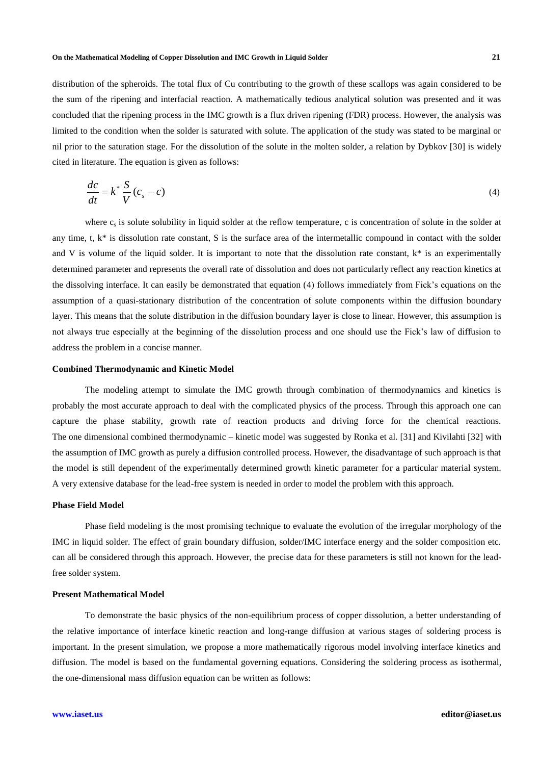distribution of the spheroids. The total flux of Cu contributing to the growth of these scallops was again considered to be the sum of the ripening and interfacial reaction. A mathematically tedious analytical solution was presented and it was concluded that the ripening process in the IMC growth is a flux driven ripening (FDR) process. However, the analysis was limited to the condition when the solder is saturated with solute. The application of the study was stated to be marginal or nil prior to the saturation stage. For the dissolution of the solute in the molten solder, a relation by Dybkov [30] is widely cited in literature. The equation is given as follows:

$$
\frac{dc}{dt} = k^* \frac{S}{V} (c_s - c) \tag{4}
$$

where  $c_s$  is solute solubility in liquid solder at the reflow temperature, c is concentration of solute in the solder at any time, t,  $k^*$  is dissolution rate constant, S is the surface area of the intermetallic compound in contact with the solder and V is volume of the liquid solder. It is important to note that the dissolution rate constant,  $k^*$  is an experimentally determined parameter and represents the overall rate of dissolution and does not particularly reflect any reaction kinetics at the dissolving interface. It can easily be demonstrated that equation (4) follows immediately from Fick's equations on the assumption of a quasi-stationary distribution of the concentration of solute components within the diffusion boundary layer. This means that the solute distribution in the diffusion boundary layer is close to linear. However, this assumption is not always true especially at the beginning of the dissolution process and one should use the Fick's law of diffusion to address the problem in a concise manner.

### **Combined Thermodynamic and Kinetic Model**

The modeling attempt to simulate the IMC growth through combination of thermodynamics and kinetics is probably the most accurate approach to deal with the complicated physics of the process. Through this approach one can capture the phase stability, growth rate of reaction products and driving force for the chemical reactions. The one dimensional combined thermodynamic – kinetic model was suggested by Ronka et al. [31] and Kivilahti [32] with the assumption of IMC growth as purely a diffusion controlled process. However, the disadvantage of such approach is that the model is still dependent of the experimentally determined growth kinetic parameter for a particular material system. A very extensive database for the lead-free system is needed in order to model the problem with this approach.

### **Phase Field Model**

Phase field modeling is the most promising technique to evaluate the evolution of the irregular morphology of the IMC in liquid solder. The effect of grain boundary diffusion, solder/IMC interface energy and the solder composition etc. can all be considered through this approach. However, the precise data for these parameters is still not known for the leadfree solder system.

### **Present Mathematical Model**

To demonstrate the basic physics of the non-equilibrium process of copper dissolution, a better understanding of the relative importance of interface kinetic reaction and long-range diffusion at various stages of soldering process is important. In the present simulation, we propose a more mathematically rigorous model involving interface kinetics and diffusion. The model is based on the fundamental governing equations. Considering the soldering process as isothermal, the one-dimensional mass diffusion equation can be written as follows: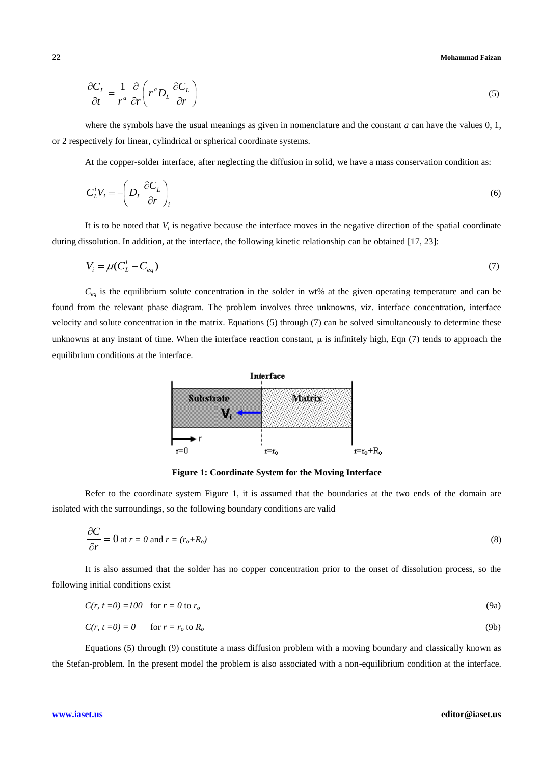**22 Mohammad Faizan**

$$
\frac{\partial C_L}{\partial t} = \frac{1}{r^a} \frac{\partial}{\partial r} \left( r^a D_L \frac{\partial C_L}{\partial r} \right)
$$
(5)

where the symbols have the usual meanings as given in nomenclature and the constant *a* can have the values 0, 1, or 2 respectively for linear, cylindrical or spherical coordinate systems.

At the copper-solder interface, after neglecting the diffusion in solid, we have a mass conservation condition as:

$$
C_L^i V_i = -\left(D_L \frac{\partial C_L}{\partial r}\right)_i \tag{6}
$$

It is to be noted that  $V_i$  is negative because the interface moves in the negative direction of the spatial coordinate during dissolution. In addition, at the interface, the following kinetic relationship can be obtained [17, 23]:

$$
V_i = \mu (C_L^i - C_{eq})
$$
\n<sup>(7)</sup>

*Ceq* is the equilibrium solute concentration in the solder in wt% at the given operating temperature and can be found from the relevant phase diagram. The problem involves three unknowns, viz. interface concentration, interface velocity and solute concentration in the matrix. Equations (5) through (7) can be solved simultaneously to determine these unknowns at any instant of time. When the interface reaction constant,  $\mu$  is infinitely high, Eqn (7) tends to approach the equilibrium conditions at the interface.



**Figure 1: Coordinate System for the Moving Interface**

Refer to the coordinate system Figure 1, it is assumed that the boundaries at the two ends of the domain are isolated with the surroundings, so the following boundary conditions are valid

$$
\frac{\partial C}{\partial r} = 0 \text{ at } r = 0 \text{ and } r = (r_o + R_o)
$$
\n(8)

It is also assumed that the solder has no copper concentration prior to the onset of dissolution process, so the following initial conditions exist

$$
C(r, t=0) = 100 \quad \text{for } r=0 \text{ to } r_o \tag{9a}
$$

$$
C(r, t=0) = 0 \qquad \text{for } r = r_o \text{ to } R_o \tag{9b}
$$

Equations (5) through (9) constitute a mass diffusion problem with a moving boundary and classically known as the Stefan-problem. In the present model the problem is also associated with a non-equilibrium condition at the interface.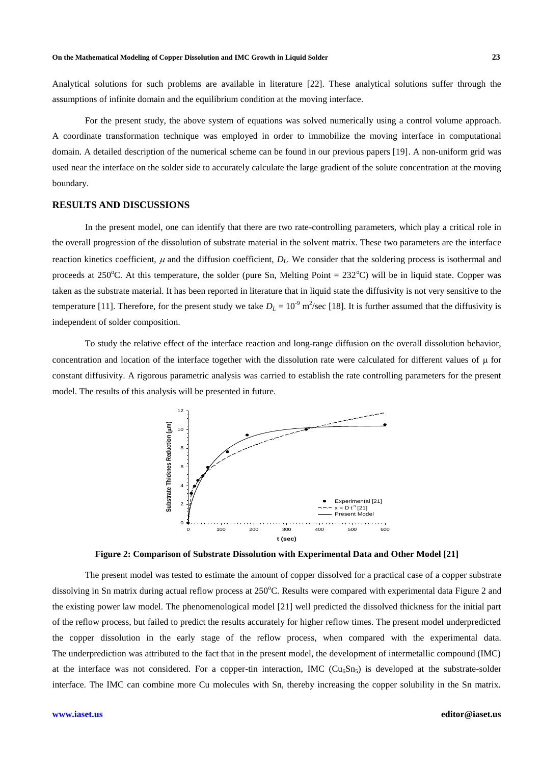Analytical solutions for such problems are available in literature [22]. These analytical solutions suffer through the assumptions of infinite domain and the equilibrium condition at the moving interface.

For the present study, the above system of equations was solved numerically using a control volume approach. A coordinate transformation technique was employed in order to immobilize the moving interface in computational domain. A detailed description of the numerical scheme can be found in our previous papers [19]. A non-uniform grid was used near the interface on the solder side to accurately calculate the large gradient of the solute concentration at the moving boundary.

# **RESULTS AND DISCUSSIONS**

In the present model, one can identify that there are two rate-controlling parameters, which play a critical role in the overall progression of the dissolution of substrate material in the solvent matrix. These two parameters are the interface reaction kinetics coefficient,  $\mu$  and the diffusion coefficient,  $D_L$ . We consider that the soldering process is isothermal and proceeds at 250 $^{\circ}$ C. At this temperature, the solder (pure Sn, Melting Point = 232 $^{\circ}$ C) will be in liquid state. Copper was taken as the substrate material. It has been reported in literature that in liquid state the diffusivity is not very sensitive to the temperature [11]. Therefore, for the present study we take  $D_L = 10^{-9}$  m<sup>2</sup>/sec [18]. It is further assumed that the diffusivity is independent of solder composition.

To study the relative effect of the interface reaction and long-range diffusion on the overall dissolution behavior, concentration and location of the interface together with the dissolution rate were calculated for different values of  $\mu$  for constant diffusivity. A rigorous parametric analysis was carried to establish the rate controlling parameters for the present model. The results of this analysis will be presented in future.



**Figure 2: Comparison of Substrate Dissolution with Experimental Data and Other Model [21]**

The present model was tested to estimate the amount of copper dissolved for a practical case of a copper substrate dissolving in Sn matrix during actual reflow process at 250°C. Results were compared with experimental data Figure 2 and the existing power law model. The phenomenological model [21] well predicted the dissolved thickness for the initial part of the reflow process, but failed to predict the results accurately for higher reflow times. The present model underpredicted the copper dissolution in the early stage of the reflow process, when compared with the experimental data. The underprediction was attributed to the fact that in the present model, the development of intermetallic compound (IMC) at the interface was not considered. For a copper-tin interaction, IMC  $(Cu_0Sn_5)$  is developed at the substrate-solder interface. The IMC can combine more Cu molecules with Sn, thereby increasing the copper solubility in the Sn matrix.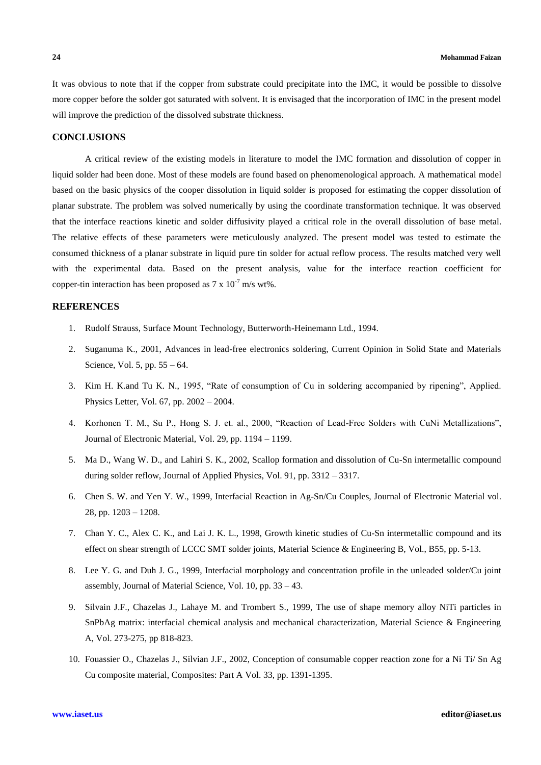It was obvious to note that if the copper from substrate could precipitate into the IMC, it would be possible to dissolve more copper before the solder got saturated with solvent. It is envisaged that the incorporation of IMC in the present model will improve the prediction of the dissolved substrate thickness.

# **CONCLUSIONS**

A critical review of the existing models in literature to model the IMC formation and dissolution of copper in liquid solder had been done. Most of these models are found based on phenomenological approach. A mathematical model based on the basic physics of the cooper dissolution in liquid solder is proposed for estimating the copper dissolution of planar substrate. The problem was solved numerically by using the coordinate transformation technique. It was observed that the interface reactions kinetic and solder diffusivity played a critical role in the overall dissolution of base metal. The relative effects of these parameters were meticulously analyzed. The present model was tested to estimate the consumed thickness of a planar substrate in liquid pure tin solder for actual reflow process. The results matched very well with the experimental data. Based on the present analysis, value for the interface reaction coefficient for copper-tin interaction has been proposed as  $7 \times 10^{-7}$  m/s wt%.

# **REFERENCES**

- 1. Rudolf Strauss, Surface Mount Technology, Butterworth-Heinemann Ltd., 1994.
- 2. Suganuma K., 2001, Advances in lead-free electronics soldering, Current Opinion in Solid State and Materials Science, Vol. 5, pp. 55 – 64.
- 3. Kim H. K.and Tu K. N., 1995, "Rate of consumption of Cu in soldering accompanied by ripening", Applied. Physics Letter, Vol. 67, pp. 2002 – 2004.
- 4. Korhonen T. M., Su P., Hong S. J. et. al., 2000, "Reaction of Lead-Free Solders with CuNi Metallizations", Journal of Electronic Material, Vol. 29, pp. 1194 – 1199.
- 5. Ma D., Wang W. D., and Lahiri S. K., 2002, Scallop formation and dissolution of Cu-Sn intermetallic compound during solder reflow, Journal of Applied Physics, Vol. 91, pp. 3312 – 3317.
- 6. Chen S. W. and Yen Y. W., 1999, Interfacial Reaction in Ag-Sn/Cu Couples, Journal of Electronic Material vol. 28, pp. 1203 – 1208.
- 7. Chan Y. C., Alex C. K., and Lai J. K. L., 1998, Growth kinetic studies of Cu-Sn intermetallic compound and its effect on shear strength of LCCC SMT solder joints, Material Science & Engineering B, Vol., B55, pp. 5-13.
- 8. Lee Y. G. and Duh J. G., 1999, Interfacial morphology and concentration profile in the unleaded solder/Cu joint assembly, Journal of Material Science, Vol. 10, pp. 33 – 43.
- 9. Silvain J.F., Chazelas J., Lahaye M. and Trombert S., 1999, The use of shape memory alloy NiTi particles in SnPbAg matrix: interfacial chemical analysis and mechanical characterization, Material Science & Engineering A, Vol. 273-275, pp 818-823.
- 10. Fouassier O., Chazelas J., Silvian J.F., 2002, Conception of consumable copper reaction zone for a Ni Ti/ Sn Ag Cu composite material, Composites: Part A Vol. 33, pp. 1391-1395.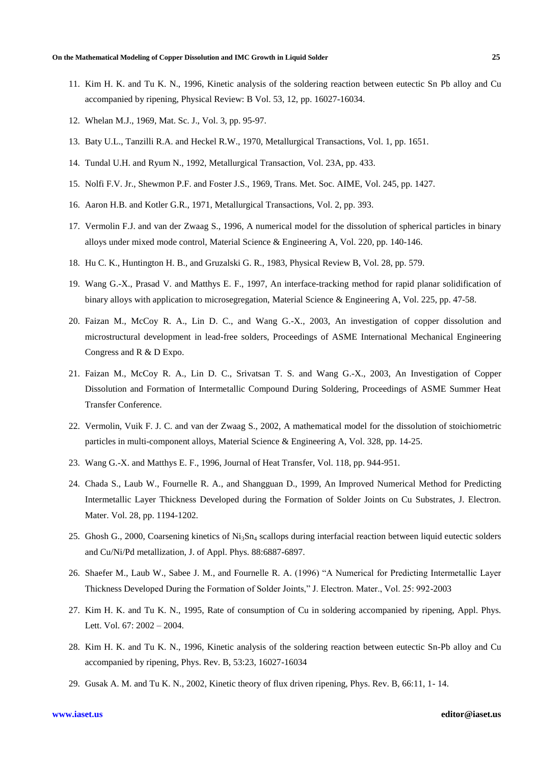- 11. Kim H. K. and Tu K. N., 1996, Kinetic analysis of the soldering reaction between eutectic Sn Pb alloy and Cu accompanied by ripening, Physical Review: B Vol. 53, 12, pp. 16027-16034.
- 12. Whelan M.J., 1969, Mat. Sc. J., Vol. 3, pp. 95-97.
- 13. Baty U.L., Tanzilli R.A. and Heckel R.W., 1970, Metallurgical Transactions, Vol. 1, pp. 1651.
- 14. Tundal U.H. and Ryum N., 1992, Metallurgical Transaction, Vol. 23A, pp. 433.
- 15. Nolfi F.V. Jr., Shewmon P.F. and Foster J.S., 1969, Trans. Met. Soc. AIME, Vol. 245, pp. 1427.
- 16. Aaron H.B. and Kotler G.R., 1971, Metallurgical Transactions, Vol. 2, pp. 393.
- 17. Vermolin F.J. and van der Zwaag S., 1996, A numerical model for the dissolution of spherical particles in binary alloys under mixed mode control, Material Science & Engineering A, Vol. 220, pp. 140-146.
- 18. Hu C. K., Huntington H. B., and Gruzalski G. R., 1983, Physical Review B, Vol. 28, pp. 579.
- 19. Wang G.-X., Prasad V. and Matthys E. F., 1997, An interface-tracking method for rapid planar solidification of binary alloys with application to microsegregation, Material Science & Engineering A, Vol. 225, pp. 47-58.
- 20. Faizan M., McCoy R. A., Lin D. C., and Wang G.-X., 2003, An investigation of copper dissolution and microstructural development in lead-free solders, Proceedings of ASME International Mechanical Engineering Congress and R & D Expo.
- 21. Faizan M., McCoy R. A., Lin D. C., Srivatsan T. S. and Wang G.-X., 2003, An Investigation of Copper Dissolution and Formation of Intermetallic Compound During Soldering, Proceedings of ASME Summer Heat Transfer Conference.
- 22. Vermolin, Vuik F. J. C. and van der Zwaag S., 2002, A mathematical model for the dissolution of stoichiometric particles in multi-component alloys, Material Science & Engineering A, Vol. 328, pp. 14-25.
- 23. Wang G.-X. and Matthys E. F., 1996, Journal of Heat Transfer, Vol. 118, pp. 944-951.
- 24. Chada S., Laub W., Fournelle R. A., and Shangguan D., 1999, An Improved Numerical Method for Predicting Intermetallic Layer Thickness Developed during the Formation of Solder Joints on Cu Substrates, J. Electron. Mater. Vol. 28, pp. 1194-1202.
- 25. Ghosh G., 2000, Coarsening kinetics of Ni3Sn<sup>4</sup> scallops during interfacial reaction between liquid eutectic solders and Cu/Ni/Pd metallization, J. of Appl. Phys. 88:6887-6897.
- 26. Shaefer M., Laub W., Sabee J. M., and Fournelle R. A. (1996) "A Numerical for Predicting Intermetallic Layer Thickness Developed During the Formation of Solder Joints," J. Electron. Mater., Vol. 25: 992-2003
- 27. Kim H. K. and Tu K. N., 1995, Rate of consumption of Cu in soldering accompanied by ripening, Appl. Phys. Lett. Vol. 67: 2002 – 2004.
- 28. Kim H. K. and Tu K. N., 1996, Kinetic analysis of the soldering reaction between eutectic Sn-Pb alloy and Cu accompanied by ripening, Phys. Rev. B, 53:23, 16027-16034
- 29. Gusak A. M. and Tu K. N., 2002, Kinetic theory of flux driven ripening, Phys. Rev. B, 66:11, 1- 14.